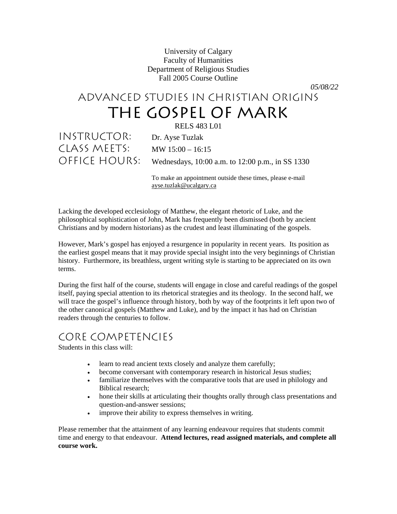University of Calgary Faculty of Humanities Department of Religious Studies Fall 2005 Course Outline

# Advanced Studies in Christian Origins The Gospel of Mark

INSTRUCTOR: Dr. Ayse Tuzlak Class Meets: MW 15:00 – 16:15

RELS 483 L01

OFFICE HOURS: Wednesdays,  $10:00$  a.m. to  $12:00$  p.m., in SS 1330

*05/08/22* 

 To make an appointment outside these times, please e-mail ayse.tuzlak@ucalgary.ca

Lacking the developed ecclesiology of Matthew, the elegant rhetoric of Luke, and the philosophical sophistication of John, Mark has frequently been dismissed (both by ancient Christians and by modern historians) as the crudest and least illuminating of the gospels.

However, Mark's gospel has enjoyed a resurgence in popularity in recent years. Its position as the earliest gospel means that it may provide special insight into the very beginnings of Christian history. Furthermore, its breathless, urgent writing style is starting to be appreciated on its own terms.

During the first half of the course, students will engage in close and careful readings of the gospel itself, paying special attention to its rhetorical strategies and its theology. In the second half, we will trace the gospel's influence through history, both by way of the footprints it left upon two of the other canonical gospels (Matthew and Luke), and by the impact it has had on Christian readers through the centuries to follow.

# core competencies

Students in this class will:

- learn to read ancient texts closely and analyze them carefully;
- become conversant with contemporary research in historical Jesus studies;
- familiarize themselves with the comparative tools that are used in philology and Biblical research;
- hone their skills at articulating their thoughts orally through class presentations and question-and-answer sessions;
- improve their ability to express themselves in writing.

Please remember that the attainment of any learning endeavour requires that students commit time and energy to that endeavour. **Attend lectures, read assigned materials, and complete all course work.**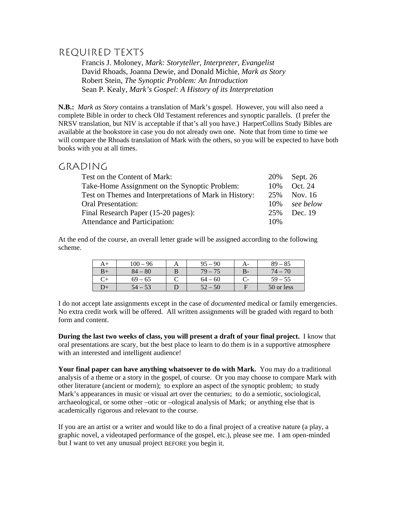# required Texts

 Francis J. Moloney, *Mark: Storyteller, Interpreter, Evangelist*  David Rhoads, Joanna Dewie, and Donald Michie, *Mark as Story*  Robert Stein, *The Synoptic Problem: An Introduction*  Sean P. Kealy, *Mark's Gospel: A History of its Interpretation* 

**N.B.:** *Mark as Story* contains a translation of Mark's gospel. However, you will also need a complete Bible in order to check Old Testament references and synoptic parallels. (I prefer the NRSV translation, but NIV is acceptable if that's all you have.) HarperCollins Study Bibles are available at the bookstore in case you do not already own one. Note that from time to time we will compare the Rhoads translation of Mark with the others, so you will be expected to have both books with you at all times.

## Grading

| 20% | Sept. 26  |
|-----|-----------|
| 10% | Oct. 24   |
| 25% | Nov. 16   |
| 10% | see below |
| 25% | Dec. 19   |
| 10% |           |
|     |           |

At the end of the course, an overall letter grade will be assigned according to the following scheme.

| A+   | $100 - 96$ | $95 - 90$ |    | $89 - 85$  |
|------|------------|-----------|----|------------|
| $B+$ | $84 - 80$  | $79 - 75$ | B- | $74 - 70$  |
|      | $69 - 65$  | $64 - 60$ |    | $59 - 55$  |
| D+   | 54 – 53    | $52 - 50$ |    | 50 or less |

I do not accept late assignments except in the case of *documented* medical or family emergencies. No extra credit work will be offered. All written assignments will be graded with regard to both form and content.

**During the last two weeks of class, you will present a draft of your final project.** I know that oral presentations are scary, but the best place to learn to do them is in a supportive atmosphere with an interested and intelligent audience!

**Your final paper can have anything whatsoever to do with Mark.** You may do a traditional analysis of a theme or a story in the gospel, of course. Or you may choose to compare Mark with other literature (ancient or modern); to explore an aspect of the synoptic problem; to study Mark's appearances in music or visual art over the centuries; to do a semiotic, sociological, archaeological, or some other –otic or –ological analysis of Mark; or anything else that is academically rigorous and relevant to the course.

If you are an artist or a writer and would like to do a final project of a creative nature (a play, a graphic novel, a videotaped performance of the gospel, etc.), please see me. I am open-minded but I want to vet any unusual project BEFORE you begin it.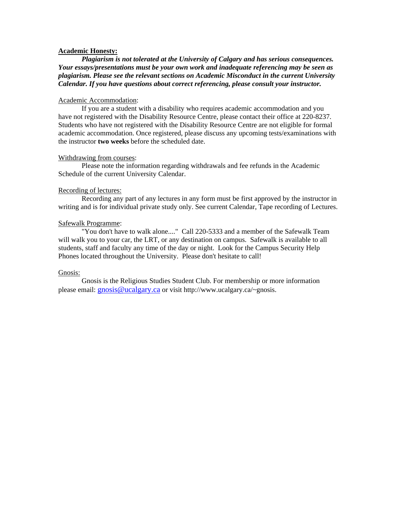#### **Academic Honesty:**

 *Plagiarism is not tolerated at the University of Calgary and has serious consequences. Your essays/presentations must be your own work and inadequate referencing may be seen as plagiarism. Please see the relevant sections on Academic Misconduct in the current University Calendar. If you have questions about correct referencing, please consult your instructor.* 

#### Academic Accommodation:

 If you are a student with a disability who requires academic accommodation and you have not registered with the Disability Resource Centre, please contact their office at 220-8237. Students who have not registered with the Disability Resource Centre are not eligible for formal academic accommodation. Once registered, please discuss any upcoming tests/examinations with the instructor **two weeks** before the scheduled date.

#### Withdrawing from courses:

 Please note the information regarding withdrawals and fee refunds in the Academic Schedule of the current University Calendar.

#### Recording of lectures:

 Recording any part of any lectures in any form must be first approved by the instructor in writing and is for individual private study only. See current Calendar, Tape recording of Lectures.

#### Safewalk Programme:

 "You don't have to walk alone...." Call 220-5333 and a member of the Safewalk Team will walk you to your car, the LRT, or any destination on campus. Safewalk is available to all students, staff and faculty any time of the day or night. Look for the Campus Security Help Phones located throughout the University. Please don't hesitate to call!

#### Gnosis:

 Gnosis is the Religious Studies Student Club. For membership or more information please email: gnosis@ucalgary.ca or visit http://www.ucalgary.ca/~gnosis.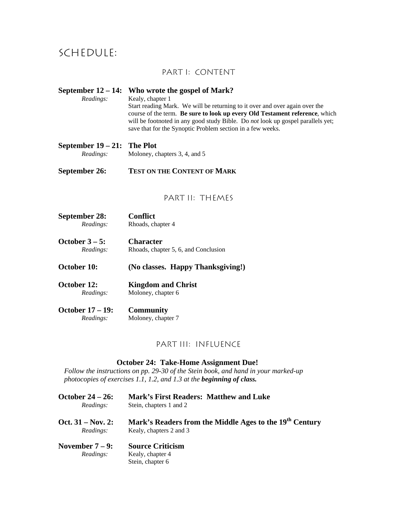# Schedule:

### Part I: content

#### **September 12 – 14: Who wrote the gospel of Mark?**

*Readings:* Kealy, chapter 1

 Start reading Mark. We will be returning to it over and over again over the course of the term. **Be sure to look up every Old Testament reference**, which will be footnoted in any good study Bible. Do *not* look up gospel parallels yet; save that for the Synoptic Problem section in a few weeks.

| September $19 - 21$ : The Plot |                               |
|--------------------------------|-------------------------------|
| Readings:                      | Moloney, chapters 3, 4, and 5 |

**September 26: TEST ON THE CONTENT OF MARK**

### Part II: themes

| September 28:  | <b>Conflict</b>                      |
|----------------|--------------------------------------|
| Readings:      | Rhoads, chapter 4                    |
| October 3 – 5: | <b>Character</b>                     |
| Readings:      | Rhoads, chapter 5, 6, and Conclusion |
| October 10:    | (No classes. Happy Thanksgiving!)    |
| October 12:    | <b>Kingdom and Christ</b>            |
| Readings:      | Moloney, chapter 6                   |

**October 17 – 19: Community**  *Readings:* Moloney, chapter 7

Stein, chapter 6

### part III: influence

#### **October 24: Take-Home Assignment Due!**

*Follow the instructions on pp. 29-30 of the Stein book, and hand in your marked-up photocopies of exercises 1.1, 1.2, and 1.3 at the beginning of class.* 

| October $24 - 26$ :  | <b>Mark's First Readers: Matthew and Luke</b>                       |
|----------------------|---------------------------------------------------------------------|
| Readings:            | Stein, chapters 1 and 2                                             |
| Oct. $31 - Nov. 2$ : | Mark's Readers from the Middle Ages to the 19 <sup>th</sup> Century |
| Readings:            | Kealy, chapters 2 and 3                                             |
| November $7-9$ :     | <b>Source Criticism</b>                                             |
| Readings:            | Kealy, chapter 4                                                    |